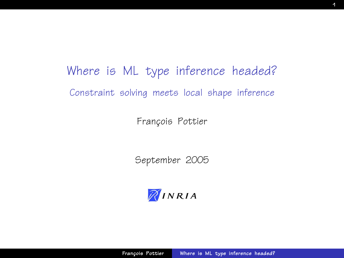Where is ML type inference headed? Constraint solving meets local shape inference

François Pottier

September 2005

<span id="page-0-0"></span>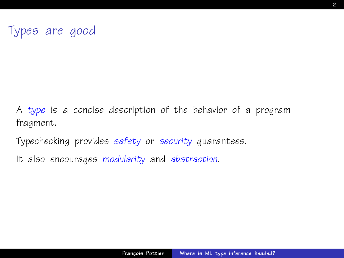A type is a concise description of the behavior of a program fragment.

Typechecking provides safety or security guarantees.

It also encourages modularity and abstraction.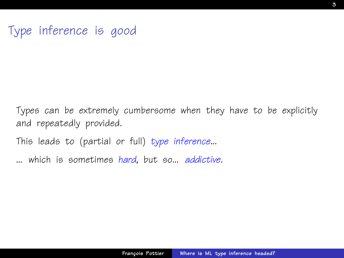# Type inference is good

Types can be extremely cumbersome when they have to be explicitly and repeatedly provided.

This leads to (partial or full) type inference...

... which is sometimes hard, but so... addictive.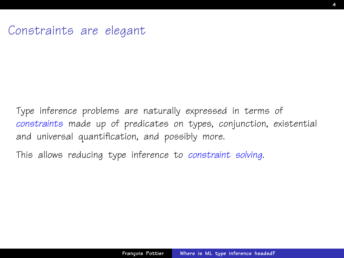#### Constraints are elegant

Type inference problems are naturally expressed in terms of constraints made up of predicates on types, conjunction, existential and universal quantification, and possibly more.

This allows reducing type inference to constraint solving.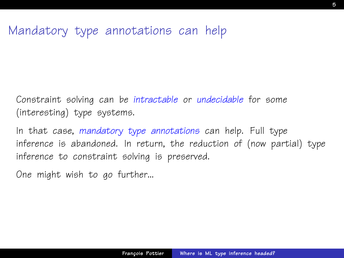## Mandatory type annotations can help

Constraint solving can be intractable or undecidable for some (interesting) type systems.

In that case, mandatory type annotations can help. Full type inference is abandoned. In return, the reduction of (now partial) type inference to constraint solving is preserved.

One might wish to go further...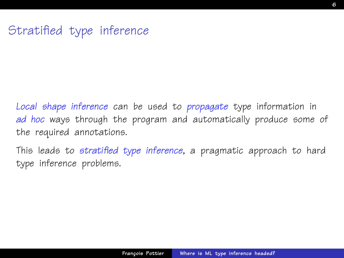# Stratified type inference

Local shape inference can be used to propagate type information in ad hoc ways through the program and automatically produce some of the required annotations.

This leads to stratified type inference, a pragmatic approach to hard type inference problems.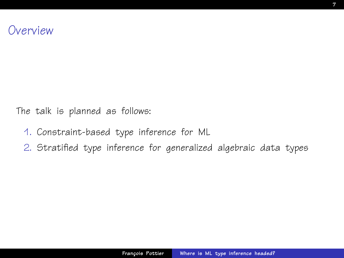The talk is planned as follows:

- 1. Constraint-based type inference for ML
- 2. Stratified type inference for generalized algebraic data types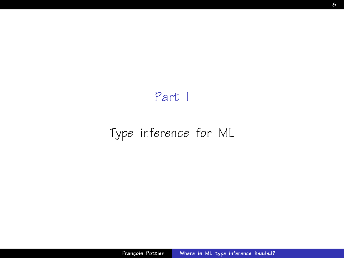## <span id="page-7-0"></span>Part I

# [Type inference for ML](#page-7-0)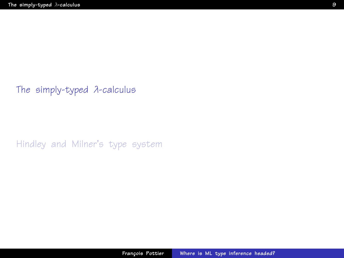[The simply-typed](#page-8-0) λ-calculus

<span id="page-8-0"></span>[Hindley and Milner's type system](#page-15-0)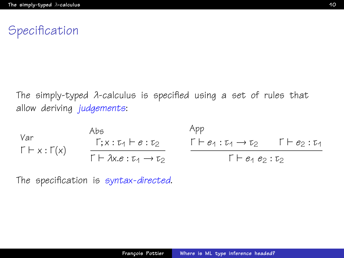# **Specification**

The simply-typed λ-calculus is specified using a set of rules that allow deriving judgements:

Var  
\n
$$
\begin{array}{ccc}\n\text{Abs} & \text{App} \\
\Gamma + x: \Gamma(x) & \frac{\Gamma; x: \tau_1 \vdash e: \tau_2}{\Gamma \vdash \lambda x. e: \tau_1 \rightarrow \tau_2} & \frac{\Gamma \vdash e_1: \tau_1 \rightarrow \tau_2}{\Gamma \vdash e_1 \cdot e_2: \tau_2} & \frac{\Gamma \vdash e_1: \tau_1 \rightarrow \tau_2}{\Gamma \vdash e_1 \cdot e_2: \tau_2}\n\end{array}
$$

The specification is syntax-directed.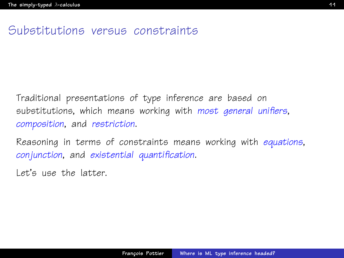#### Substitutions versus constraints

Traditional presentations of type inference are based on substitutions, which means working with most general unifiers, composition, and restriction.

Reasoning in terms of constraints means working with equations, conjunction, and existential quantification.

Let's use the latter.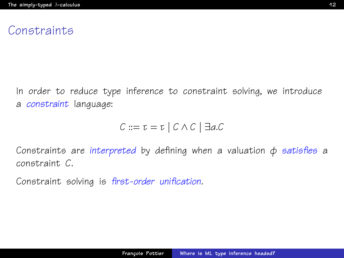#### **Constraints**

In order to reduce type inference to constraint solving, we introduce a constraint language:

$$
C ::= \tau = \tau \mid C \wedge C \mid \exists a.C
$$

Constraints are interpreted by defining when a valuation  $\phi$  satisfies a constraint C.

Constraint solving is first-order unification.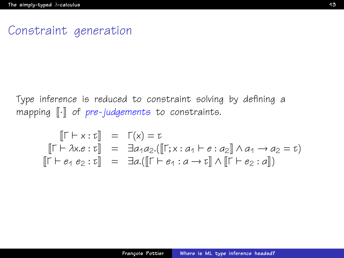#### Constraint generation

Type inference is reduced to constraint solving by defining a mapping  $\lbrack \cdot \rbrack$  of pre-judgements to constraints.

$$
\begin{array}{rcl}\n\left[\Gamma \vdash x : \tau\right] & = & \Gamma(x) = \tau \\
\left[\Gamma \vdash \lambda x . e : \tau\right] & = & \exists a_1 a_2 . (\left[\Gamma; x : a_1 \vdash e : a_2\right] \land a_1 \to a_2 = \tau) \\
\left[\Gamma \vdash e_1 \ e_2 : \tau\right] & = & \exists a . (\left[\Gamma \vdash e_1 : a \to \tau\right] \land \left[\Gamma \vdash e_2 : a\right])\n\end{array}
$$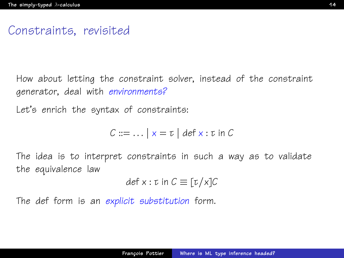#### Constraints, revisited

How about letting the constraint solver, instead of the constraint generator, deal with environments?

Let's enrich the syntax of constraints:

$$
C ::= \dots | x = \tau | \text{def } x : \tau \text{ in } C
$$

The idea is to interpret constraints in such a way as to validate the equivalence law

$$
\det x : \tau \text{ in } C \equiv [\tau/x]C
$$

The def form is an explicit substitution form.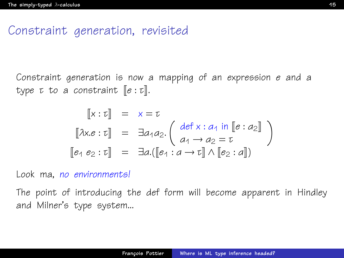#### Constraint generation, revisited

Constraint generation is now a mapping of an expression e and a type  $\tau$  to a constraint  $\llbracket e : \tau \rrbracket$ .

$$
\begin{aligned}\n\llbracket x : \tau \rrbracket &= x = \tau \\
\llbracket \lambda x . e : \tau \rrbracket &= \exists a_1 a_2. \left( \begin{array}{c} \det x : a_1 \text{ in } \llbracket e : a_2 \rrbracket \\
a_1 \rightarrow a_2 = \tau \\
\llbracket e_1 e_2 : \tau \rrbracket &= \exists a. (\llbracket e_1 : a \rightarrow \tau \rrbracket \land \llbracket e_2 : a \rrbracket)\n\end{array} \right)\n\end{aligned}
$$

Look ma, no environments!

The point of introducing the def form will become apparent in Hindley and Milner's type system...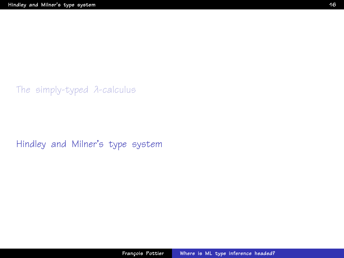[The simply-typed](#page-8-0) λ-calculus

<span id="page-15-0"></span>[Hindley and Milner's type system](#page-15-0)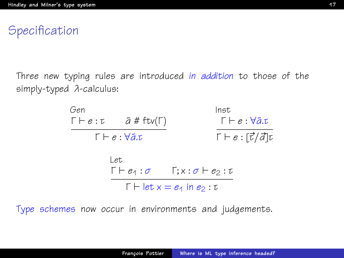**Specification** 

Three new typing rules are introduced in addition to those of the simply-typed λ-calculus:



Type schemes now occur in environments and judgements.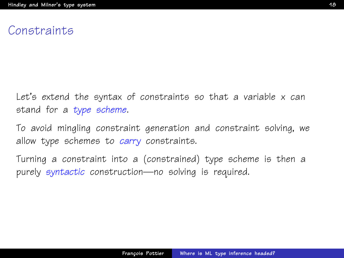#### **Congtraints**

Let's extend the syntax of constraints so that a variable x can stand for a type scheme.

To avoid mingling constraint generation and constraint solving, we allow type schemes to carry constraints.

Turning a constraint into a (constrained) type scheme is then a purely syntactic construction—no solving is required.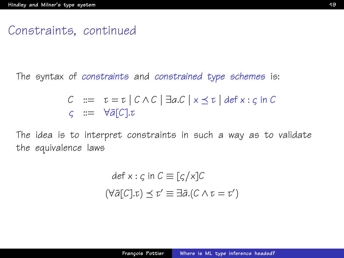#### Constraints, continued

The syntax of constraints and constrained type schemes is:

$$
C ::= \tau = \tau \mid C \wedge C \mid \exists a.C \mid x \leq \tau \mid \text{def } x : \varsigma \text{ in } C
$$
  

$$
\varsigma ::= \forall \bar{a}[C].\tau
$$

The idea is to interpret constraints in such a way as to validate the equivalence laws

$$
def x : \varsigma in C \equiv [\varsigma/x]C
$$

$$
(\forall \bar{a}[C].\tau) \preceq \tau' \equiv \exists \bar{a}.(C \land \tau = \tau')
$$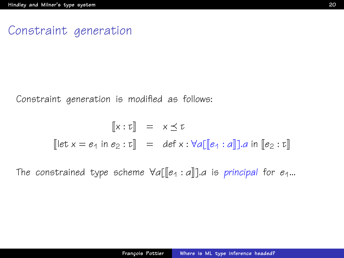#### Constraint generation

Constraint generation is modified as follows:

$$
\begin{bmatrix} x : \tau \end{bmatrix} = x \leq \tau
$$
  
\n
$$
\begin{bmatrix} \text{let } x = e_1 \text{ in } e_2 : \tau \end{bmatrix} = \text{def } x : \forall a \text{[[} e_1 : a \text{]]}.a \text{ in } \text{[[} e_2 : \tau \text{]]}
$$

The constrained type scheme  $\forall a[\lbrack\lbrack e_{1}:a\rbrack\rbrack.$ a is principal for  $e_{1}...$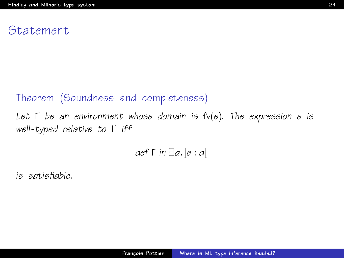#### Statement

#### Theorem (Soundness and completeness)

Let  $\Gamma$  be an environment whose domain is  $f(v(e))$ . The expression e is well-typed relative to Γ iff

$$
\textit{def} \; \Gamma \; \textit{in} \; \exists a. \llbracket e : a \rrbracket
$$

is satisfiable.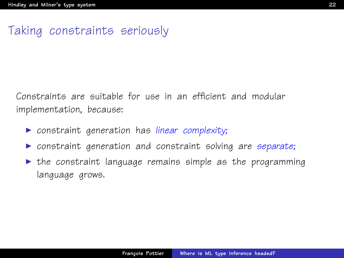# Taking constraints seriously

Constraints are suitable for use in an efficient and modular implementation, because:

- $\triangleright$  constraint generation has linear complexity;
- $\triangleright$  constraint generation and constraint solving are separate;
- $\triangleright$  the constraint language remains simple as the programming language grows.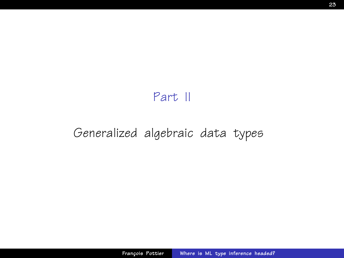#### <span id="page-22-0"></span>Part II

# [Generalized algebraic data types](#page-22-0)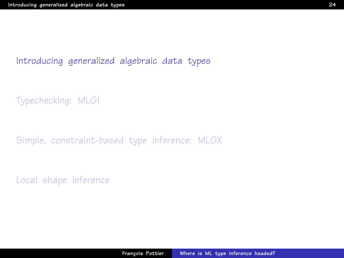#### [Introducing generalized algebraic data types](#page-23-0)

[Typechecking: MLGI](#page-31-0)

[Simple, constraint-based type inference: MLGX](#page-36-0)

<span id="page-23-0"></span>[Local shape inference](#page-43-0)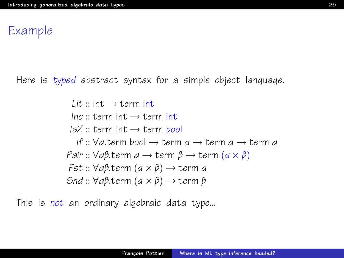#### Example

Here is typed abstract syntax for a simple object language.

 $Lit :: int \rightarrow term$  int  $Inc :: term$  int  $\rightarrow$  term int  $IsZ :: term$  int  $\rightarrow$  term bool If ::  $\forall a$  term bool  $\rightarrow$  term  $a \rightarrow$  term  $a \rightarrow$  term  $a$ Pair ::  $\forall a\beta$ .term  $a \rightarrow \text{term } \beta \rightarrow \text{term } (a \times \beta)$ Fst :: ∀αβ.term (α × β) → term α Snd ::  $\forall a\beta$ .term  $(a \times \beta) \rightarrow$  term  $\beta$ 

This is not an ordinary algebraic data type...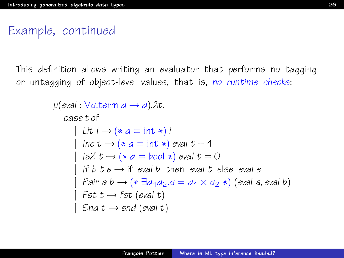## Example, continued

This definition allows writing an evaluator that performs no tagging or untagging of object-level values, that is, no runtime checks:

```
\mu(eval : \forall a.term a \rightarrow a).\lambda t.
   case t of
          Lit i \rightarrow (* a = int *) i
          Inc t \rightarrow (* a = int *) eval t + 115Z t \rightarrow (* a = bool * ) eval t = 0If b \, t \, e \rightarrow \text{if } \text{eval } b then eval t else eval e
          Pair a b \rightarrow (* \exists a_1 a_2.a = a_1 \times a_2 *) (eval a, eval b)
         Fst t \rightarrow fst (eval t)
         Snd t \rightarrow snd (eval t)
```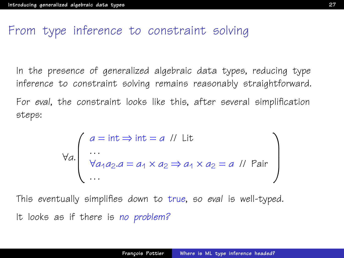#### From type inference to constraint solving

In the presence of generalized algebraic data types, reducing type inference to constraint solving remains reasonably straightforward.

For eval, the constraint looks like this, after several simplification steps:

$$
\forall a. \left( \begin{array}{l} a = \text{int} \Rightarrow \text{int} = a \text{ // Lit} \\ \dots \\ \forall a_1 a_2 \ldots a_1 \times a_2 \Rightarrow a_1 \times a_2 = a \text{ // Pair} \\ \dots \end{array} \right)
$$

This eventually simplifies down to true, so eval is well-typed. It looks as if there is no problem?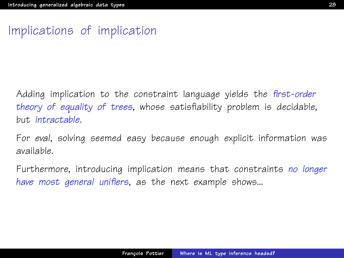## Implications of implication

Adding implication to the constraint language yields the first-order theory of equality of trees, whose satisfiability problem is decidable, but intractable.

For eval, solving seemed easy because enough explicit information was available.

Furthermore, introducing implication means that constraints no longer have most general unifiers, as the next example shows...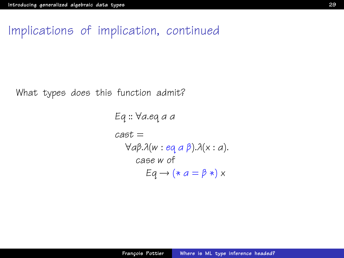## Implications of implication, continued

What types does this function admit?

Eq :: ∀α.eq α α  $cast =$ ∀αβ.λ(w : eq α β).λ(x : α). case w of  $Eq \rightarrow (* a = \beta *)$  x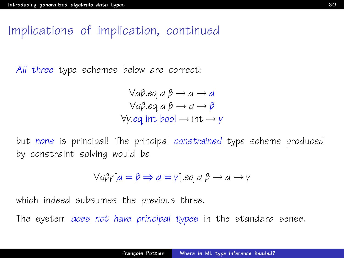## Implications of implication, continued

All three type schemes below are correct:

 $\forall a \beta$ .eq  $a \beta \rightarrow a \rightarrow a$  $\forall a \beta$ .eq  $a \beta \rightarrow a \rightarrow \beta$  $\forall y.eq$  int bool  $\rightarrow$  int  $\rightarrow y$ 

but none is principal! The principal constrained type scheme produced by constraint solving would be

$$
\forall a \beta \gamma [a = \beta \Rightarrow a = \gamma].eq a \beta \rightarrow a \rightarrow \gamma
$$

which indeed subsumes the previous three.

The system *does not have principal types* in the standard sense.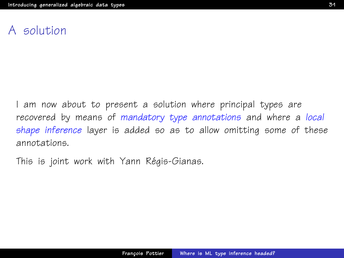## A solution

I am now about to present a solution where principal types are recovered by means of mandatory type annotations and where a local shape inference layer is added so as to allow omitting some of these annotations.

This is joint work with Yann Régis-Gianas.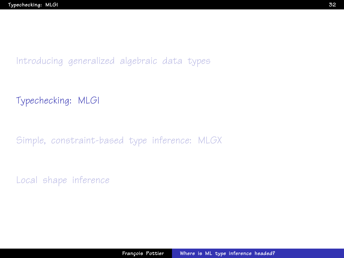[Introducing generalized algebraic data types](#page-23-0)

[Typechecking: MLGI](#page-31-0)

[Simple, constraint-based type inference: MLGX](#page-36-0)

<span id="page-31-0"></span>[Local shape inference](#page-43-0)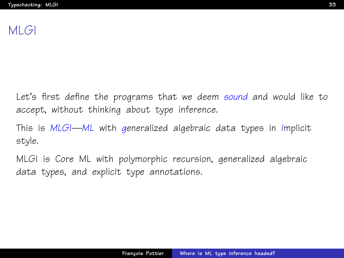# MLGI

Let's first define the programs that we deem sound and would like to accept, without thinking about type inference.

This is MLGI—ML with generalized algebraic data types in implicit style.

MLGI is Core ML with polymorphic recursion, generalized algebraic data types, and explicit type annotations.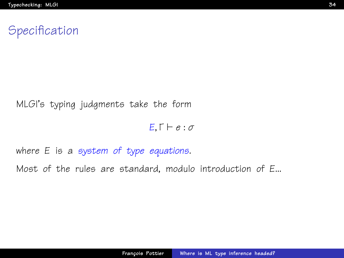# **Specification**

#### MLGI's typing judgments take the form

 $E, \Gamma \vdash e : \sigma$ 

where E is a system of type equations.

Most of the rules are standard, modulo introduction of E...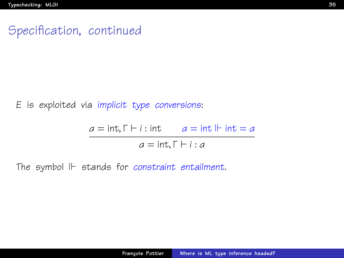## Specification, continued

E is exploited via implicit type conversions:

 $a = \text{int}, \Gamma \vdash i : \text{int}$   $a = \text{int} \Vdash \text{int} = a$  $a = \text{int}, \Gamma \vdash i : a$ 

The symbol  $\mathbb H$  stands for constraint entailment.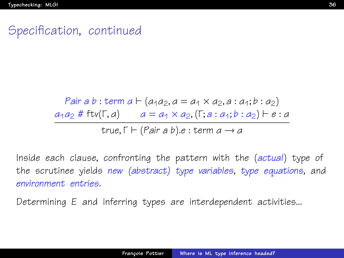## Specification, continued

Pair a b : term  $a \vdash (a_1a_2, a = a_1 \times a_2, a : a_1; b : a_2)$  $a_1a_2 \# \text{ftv}(\Gamma, a) \qquad a = a_1 \times a_2, (\Gamma; a : a_1; b : a_2) \vdash e : a_2$ true,  $\Gamma \vdash (Pair \, a \, b) . e : term \, a \rightarrow a$ 

Inside each clause, confronting the pattern with the (actual) type of the scrutinee yields new (abstract) type variables, type equations, and environment entries.

Determining E and inferring types are interdependent activities...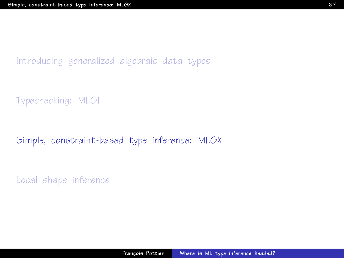[Introducing generalized algebraic data types](#page-23-0)

[Typechecking: MLGI](#page-31-0)

#### [Simple, constraint-based type inference: MLGX](#page-36-0)

<span id="page-36-0"></span>[Local shape inference](#page-43-0)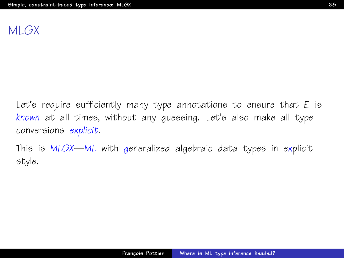# MLGX

Let's require sufficiently many type annotations to ensure that E is known at all times, without any guessing. Let's also make all type conversions explicit.

This is MLGX—ML with generalized algebraic data types in explicit style.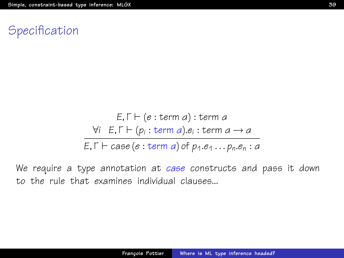# **Specification**

$$
E, \Gamma \vdash (e : \text{term } a) : \text{term } a
$$
\n
$$
\forall i \quad E, \Gamma \vdash (p_i : \text{term } a).e_i : \text{term } a \rightarrow a
$$
\n
$$
E, \Gamma \vdash case (e : \text{term } a) \text{ of } p_1. e_1 \dots p_n. e_n : a
$$

We require a type annotation at case constructs and pass it down to the rule that examines individual clauses...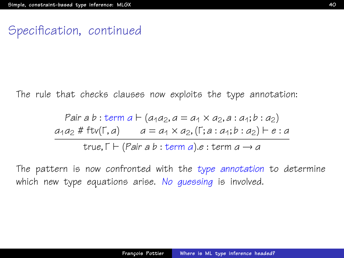#### Specification, continued

The rule that checks clauses now exploits the type annotation:

Pair a b : term a 
$$
\vdash
$$
 (a<sub>1</sub>a<sub>2</sub>, a = a<sub>1</sub> × a<sub>2</sub>, a : a<sub>1</sub>; b : a<sub>2</sub>)  
\na<sub>1</sub>a<sub>2</sub> # ftv( $\lceil$ , a)  $a = a_1 × a_2$ , ( $\lceil$ ; a : a<sub>1</sub>; b : a<sub>2</sub>)  $\vdash$  e : a  
\ntrue,  $\lceil$   $\vdash$  (Pair a b : term a).e : term a  $\rightarrow$  a

The pattern is now confronted with the type annotation to determine which new type equations arise. No quessing is involved.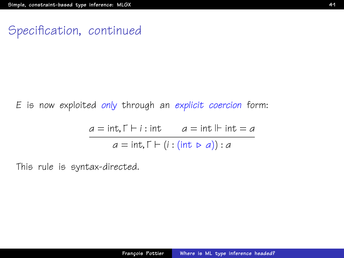#### Specification, continued

E is now exploited only through an explicit coercion form:

$$
a = \text{int}, \Gamma \vdash i : \text{int} \qquad a = \text{int} \Vdash \text{int} = a
$$

$$
a = \text{int}, \Gamma \vdash (i : (\text{int} \rhd a)) : a
$$

This rule is syntax-directed.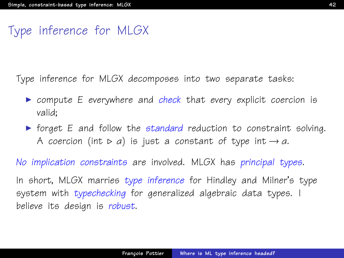# Type inference for MLGX

Type inference for MLGX decomposes into two separate tasks:

- $\triangleright$  compute E everywhere and check that every explicit coercion is valid;
- $\triangleright$  forget E and follow the standard reduction to constraint solving. A coercion (int  $\triangleright$  a) is just a constant of type int  $\rightarrow$  a.

No implication constraints are involved. MLGX has principal types.

In short, MLGX marries type inference for Hindley and Milner's type system with typechecking for generalized algebraic data types. I believe its design is robust.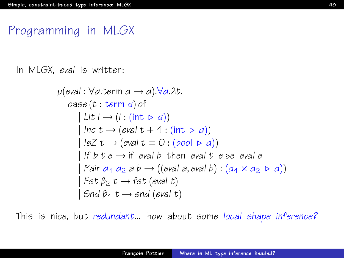## Programming in MLGX

In MLGX, eval is written:

$$
\mu(eval: \forall a \text{.term } a \rightarrow a). \forall a. \lambda t.
$$
\n
$$
case(t: \text{term } a) \text{ of}
$$
\n
$$
| \text{ Lit } i \rightarrow (i: (\text{int } \triangleright a))
$$
\n
$$
| \text{ Inc } t \rightarrow (eval \ t + 1: (\text{int } \triangleright a))
$$
\n
$$
| \text{ IsZ } t \rightarrow (eval \ t = 0: (bool \triangleright a))
$$
\n
$$
| \text{ If } b \ t \ e \rightarrow \text{ if } eval \ b \text{ then } eval \ t \text{ else } eval \ e
$$
\n
$$
| \text{ Pair } a_1 \ a_2 \ a \ b \rightarrow ((eval \ a, eval \ b) : (a_1 \times a_2 \triangleright a))
$$
\n
$$
| \text{ Est } \beta_2 \ t \rightarrow \text{fst } (eval \ t)
$$
\n
$$
| \text{Snd } \beta_1 \ t \rightarrow \text{snd } (eval \ t)
$$

This is nice, but redundant... how about some local shape inference?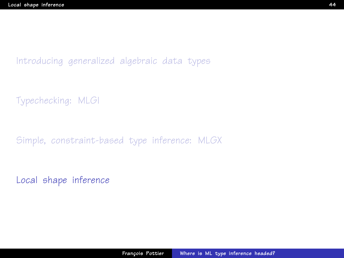[Introducing generalized algebraic data types](#page-23-0)

[Typechecking: MLGI](#page-31-0)

[Simple, constraint-based type inference: MLGX](#page-36-0)

<span id="page-43-0"></span>[Local shape inference](#page-43-0)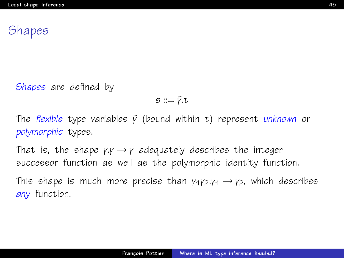# **Shapes**

Shapes are defined by

 $s ::= \bar{v} \cdot \bar{v}$ 

The flexible type variables  $\bar{y}$  (bound within τ) represent unknown or polymorphic types.

That is, the shape  $\gamma \rightarrow \gamma$  adequately describes the integer successor function as well as the polymorphic identity function.

This shape is much more precise than  $y_1y_2.y_1 \rightarrow y_2$ , which describes any function.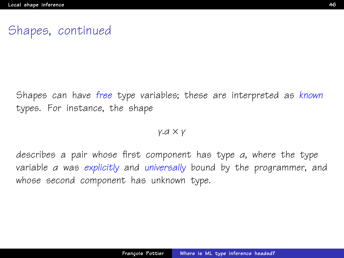## Shapes, continued

Shapes can have free type variables; these are interpreted as known types. For instance, the shape

#### γ.α × γ

describes a pair whose first component has type α, where the type variable a was explicitly and universally bound by the programmer, and whose second component has unknown type.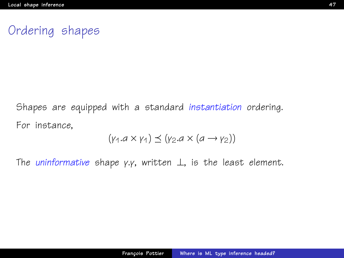# Ordering shapes

Shapes are equipped with a standard instantiation ordering. For instance,

$$
(\gamma_1.a \times \gamma_1) \preceq (\gamma_2.a \times (a \rightarrow \gamma_2))
$$

The uninformative shape γ.γ, written  $\perp$ , is the least element.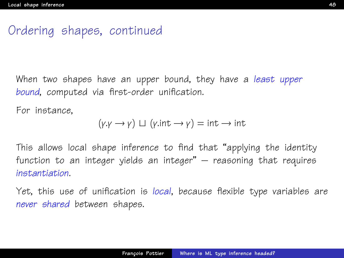# Ordering shapes, continued

When two shapes have an upper bound, they have a least upper bound, computed via first-order unification.

For instance,

$$
(\gamma \cdot \gamma \rightarrow \gamma) \sqcup (\gamma \cdot \text{int} \rightarrow \gamma) = \text{int} \rightarrow \text{int}
$$

This allows local shape inference to find that "applying the identity function to an integer yields an integer" – reasoning that requires instantiation.

Yet, this use of unification is local, because flexible type variables are never shared between shapes.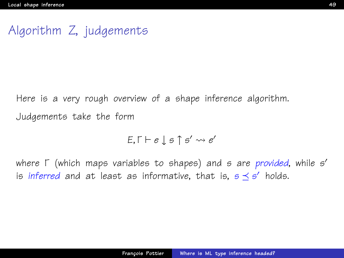# Algorithm Z, judgements

Here is a very rough overview of a shape inference algorithm. Judgements take the form

$$
E, \Gamma \vdash e \downarrow s \uparrow s' \leadsto e'
$$

where Γ (which maps variables to shapes) and s are provided, while s' is inferred and at least as informative, that is,  $s \preceq s'$  holds.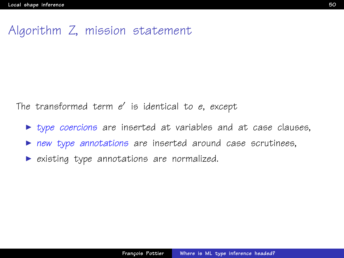## Algorithm Z, mission statement

The transformed term  $e'$  is identical to  $e$ , except

- $\triangleright$  type coercions are inserted at variables and at case clauses,
- new type annotations are inserted around case scrutinees,
- $\triangleright$  existing type annotations are normalized.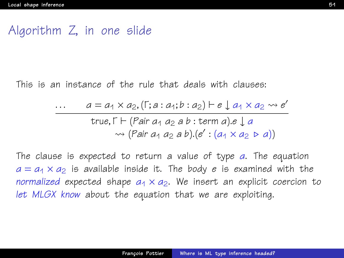#### Algorithm Z, in one slide

This is an instance of the rule that deals with clauses:

$$
\begin{array}{lll}\n\cdots & a = a_1 \times a_2, (\Gamma; a : a_1; b : a_2) \vdash e \downarrow a_1 \times a_2 \rightsquigarrow e' \\
& \text{true}, \Gamma \vdash (\text{Pair } a_1 \ a_2 \ a \ b : \text{term } a) \cdot e \downarrow a \\
& \rightsquigarrow (\text{Pair } a_1 \ a_2 \ a \ b) \cdot (e' : (a_1 \times a_2 \ \triangleright a))\n\end{array}
$$

The clause is expected to return a value of type a. The equation  $a = a_1 \times a_2$  is available inside it. The body e is examined with the normalized expected shape  $a_1 \times a_2$ . We insert an explicit coercion to let MLGX know about the equation that we are exploiting.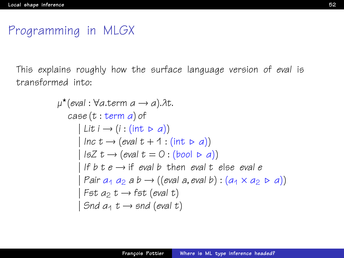# Programming in MLGX

This explains roughly how the surface language version of eval is transformed into:

```
µ
?
(eval : ∀α.term α → α).λt.
   case (t : term α) of
       | Lit i \rightarrow (i : (int \triangleright a))| Inc t \rightarrow (eval t + 1 : (int \triangleright a))
       | IsZ t \rightarrow (eval t = 0 : (bool \triangleright a))
       | If b \, t \, e \rightarrow if eval b then eval t else eval e| Pair a_1 a_2 a b \rightarrow ((eval a, eval b) : (a_1 \times a_2 \cdot a))| Fst a_2 t \rightarrow fst (eval t)
       \vert Snd a_1 t \rightarrow snd (eval t)
```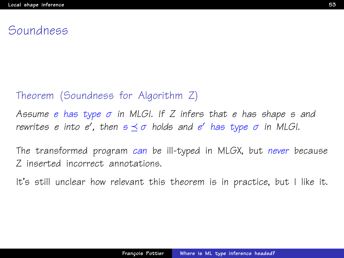#### Soundness

#### Theorem (Soundness for Algorithm Z)

Assume e has type  $\sigma$  in MLGI. If Z infers that e has shape s and rewrites e into e', then  $s\preceq\sigma$  holds and e' has type  $\sigma$  in MLGI.

The transformed program can be ill-typed in MLGX, but never because Z inserted incorrect annotations.

It's still unclear how relevant this theorem is in practice, but I like it.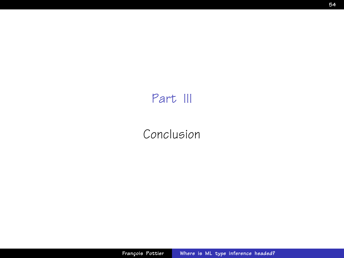# Part III

# <span id="page-53-0"></span>[Conclusion](#page-53-0)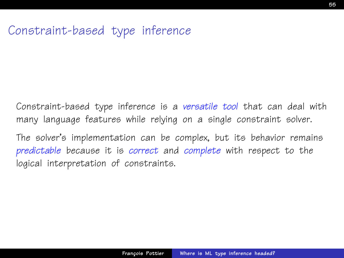# Constraint-based type inference

Constraint-based type inference is a versatile tool that can deal with many language features while relying on a single constraint solver.

The solver's implementation can be complex, but its behavior remains predictable because it is correct and complete with respect to the logical interpretation of constraints.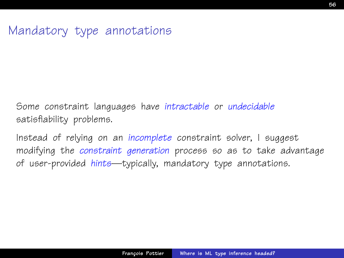## Mandatory type annotations

Some constraint languages have intractable or undecidable satisfiability problems.

Instead of relying on an incomplete constraint solver, I suggest modifying the constraint generation process so as to take advantage of user-provided hints—typically, mandatory type annotations.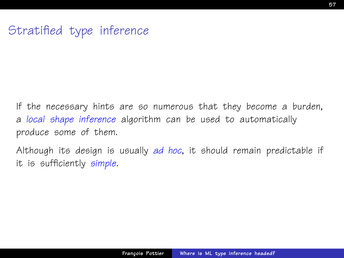# Stratified type inference

If the necessary hints are so numerous that they become a burden, a local shape inference algorithm can be used to automatically produce some of them.

Although its design is usually ad hoc, it should remain predictable if it is sufficiently simple.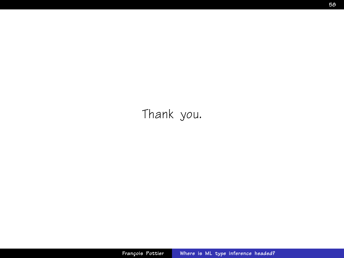Thank you.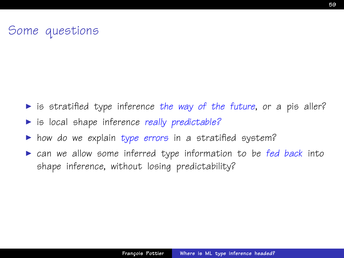# Some questions

- $\triangleright$  is stratified type inference the way of the future, or a pis aller?
- $\triangleright$  is local shape inference really predictable?
- $\blacktriangleright$  how do we explain type errors in a stratified system?
- can we allow some inferred type information to be fed back into shape inference, without losing predictability?